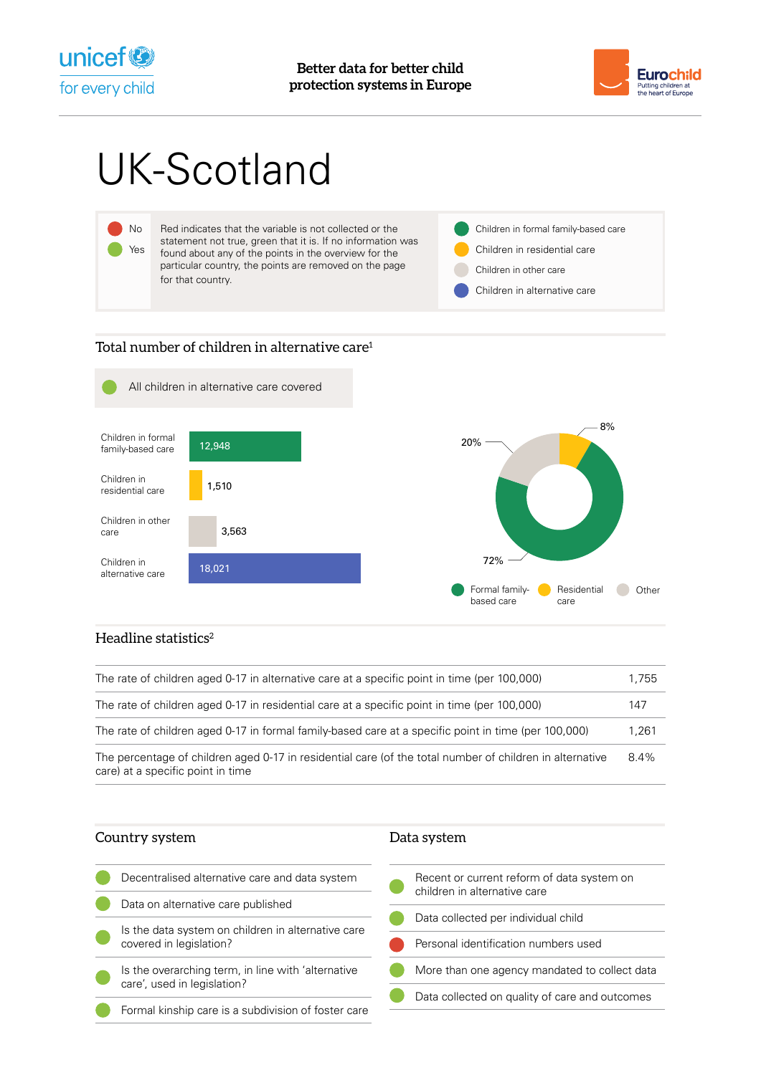



# UK-Scotland



## Total number of children in alternative care<sup>1</sup>



# Headline statistics $2$

| The rate of children aged 0-17 in alternative care at a specific point in time (per 100,000)                                                  | 1.755 |
|-----------------------------------------------------------------------------------------------------------------------------------------------|-------|
| The rate of children aged 0-17 in residential care at a specific point in time (per 100,000)                                                  | 147   |
| The rate of children aged 0-17 in formal family-based care at a specific point in time (per 100,000)                                          | 1.261 |
| The percentage of children aged 0-17 in residential care (of the total number of children in alternative<br>care) at a specific point in time | 8.4%  |

| Country system                                                                | Data system                                                                |
|-------------------------------------------------------------------------------|----------------------------------------------------------------------------|
| Decentralised alternative care and data system                                | Recent or current reform of data system on<br>children in alternative care |
| Data on alternative care published                                            |                                                                            |
|                                                                               | Data collected per individual child                                        |
| Is the data system on children in alternative care<br>covered in legislation? |                                                                            |
|                                                                               | Personal identification numbers used                                       |
| Is the overarching term, in line with 'alternative                            | More than one agency mandated to collect data                              |
| care', used in legislation?                                                   |                                                                            |
|                                                                               | Data collected on quality of care and outcomes                             |
| Formal kinship care is a subdivision of foster care                           |                                                                            |